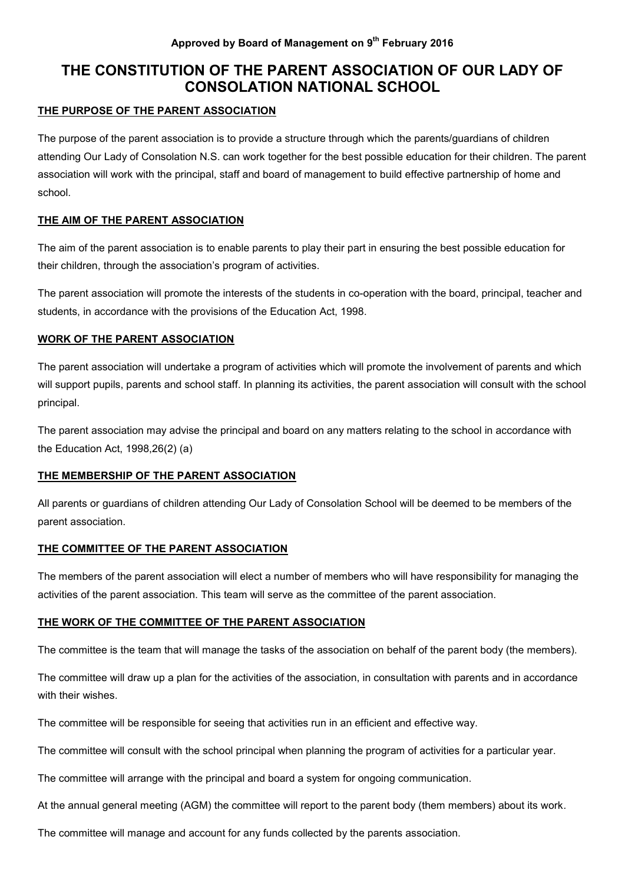# **THE CONSTITUTION OF THE PARENT ASSOCIATION OF OUR LADY OF CONSOLATION NATIONAL SCHOOL**

# **THE PURPOSE OF THE PARENT ASSOCIATION**

The purpose of the parent association is to provide a structure through which the parents/guardians of children attending Our Lady of Consolation N.S. can work together for the best possible education for their children. The parent association will work with the principal, staff and board of management to build effective partnership of home and school.

# **THE AIM OF THE PARENT ASSOCIATION**

The aim of the parent association is to enable parents to play their part in ensuring the best possible education for their children, through the association's program of activities.

The parent association will promote the interests of the students in co-operation with the board, principal, teacher and students, in accordance with the provisions of the Education Act, 1998.

# **WORK OF THE PARENT ASSOCIATION**

The parent association will undertake a program of activities which will promote the involvement of parents and which will support pupils, parents and school staff. In planning its activities, the parent association will consult with the school principal.

The parent association may advise the principal and board on any matters relating to the school in accordance with the Education Act, 1998,26(2) (a)

# **THE MEMBERSHIP OF THE PARENT ASSOCIATION**

All parents or guardians of children attending Our Lady of Consolation School will be deemed to be members of the parent association.

# **THE COMMITTEE OF THE PARENT ASSOCIATION**

The members of the parent association will elect a number of members who will have responsibility for managing the activities of the parent association. This team will serve as the committee of the parent association.

# **THE WORK OF THE COMMITTEE OF THE PARENT ASSOCIATION**

The committee is the team that will manage the tasks of the association on behalf of the parent body (the members).

The committee will draw up a plan for the activities of the association, in consultation with parents and in accordance with their wishes.

The committee will be responsible for seeing that activities run in an efficient and effective way.

The committee will consult with the school principal when planning the program of activities for a particular year.

The committee will arrange with the principal and board a system for ongoing communication.

At the annual general meeting (AGM) the committee will report to the parent body (them members) about its work*.* 

The committee will manage and account for any funds collected by the parents association.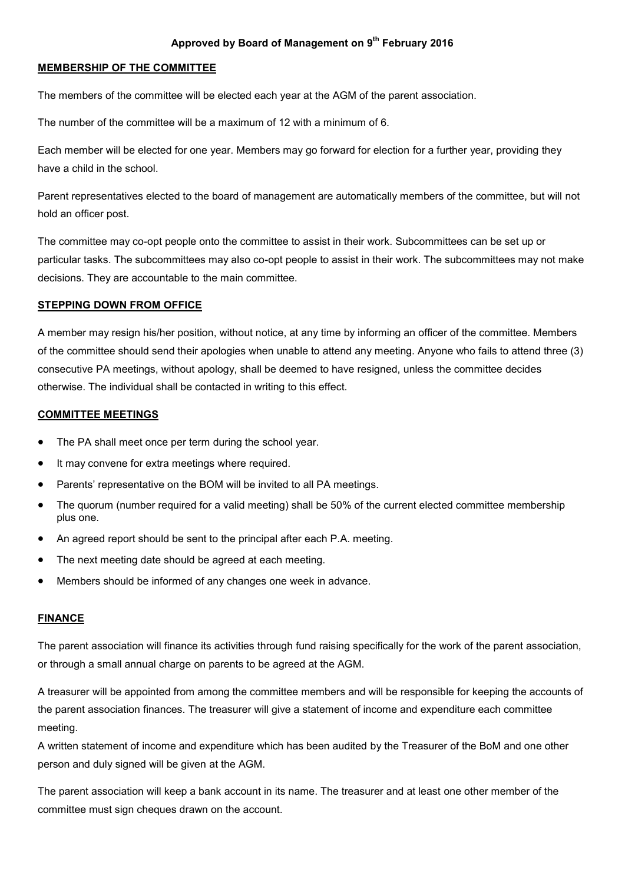### **Approved by Board of Management on 9th February 2016**

#### **MEMBERSHIP OF THE COMMITTEE**

The members of the committee will be elected each year at the AGM of the parent association.

The number of the committee will be a maximum of 12 with a minimum of 6.

Each member will be elected for one year. Members may go forward for election for a further year, providing they have a child in the school.

Parent representatives elected to the board of management are automatically members of the committee, but will not hold an officer post.

The committee may co-opt people onto the committee to assist in their work. Subcommittees can be set up or particular tasks. The subcommittees may also co-opt people to assist in their work. The subcommittees may not make decisions. They are accountable to the main committee.

#### **STEPPING DOWN FROM OFFICE**

A member may resign his/her position, without notice, at any time by informing an officer of the committee. Members of the committee should send their apologies when unable to attend any meeting. Anyone who fails to attend three (3) consecutive PA meetings, without apology, shall be deemed to have resigned, unless the committee decides otherwise. The individual shall be contacted in writing to this effect.

#### **COMMITTEE MEETINGS**

- The PA shall meet once per term during the school year.
- It may convene for extra meetings where required.
- Parents' representative on the BOM will be invited to all PA meetings.
- The quorum (number required for a valid meeting) shall be 50% of the current elected committee membership plus one.
- An agreed report should be sent to the principal after each P.A. meeting.
- The next meeting date should be agreed at each meeting.
- Members should be informed of any changes one week in advance.

#### **FINANCE**

The parent association will finance its activities through fund raising specifically for the work of the parent association, or through a small annual charge on parents to be agreed at the AGM.

A treasurer will be appointed from among the committee members and will be responsible for keeping the accounts of the parent association finances. The treasurer will give a statement of income and expenditure each committee meeting.

A written statement of income and expenditure which has been audited by the Treasurer of the BoM and one other person and duly signed will be given at the AGM.

The parent association will keep a bank account in its name. The treasurer and at least one other member of the committee must sign cheques drawn on the account.